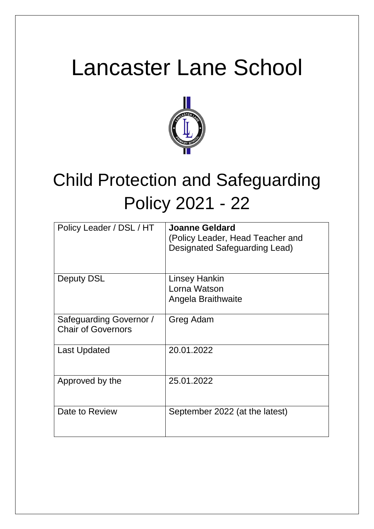# Lancaster Lane School



# Child Protection and Safeguarding Policy 2021 - 22

| Policy Leader / DSL / HT                             | Joanne Geldard<br>(Policy Leader, Head Teacher and<br>Designated Safeguarding Lead) |
|------------------------------------------------------|-------------------------------------------------------------------------------------|
| Deputy DSL                                           | Linsey Hankin<br>Lorna Watson<br>Angela Braithwaite                                 |
| Safeguarding Governor /<br><b>Chair of Governors</b> | Greg Adam                                                                           |
| Last Updated                                         | 20.01.2022                                                                          |
| Approved by the                                      | 25.01.2022                                                                          |
| Date to Review                                       | September 2022 (at the latest)                                                      |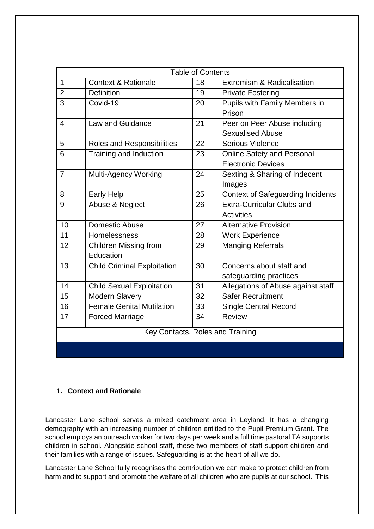| <b>Table of Contents</b>         |                                    |    |                                          |
|----------------------------------|------------------------------------|----|------------------------------------------|
| $\mathbf{1}$                     | <b>Context &amp; Rationale</b>     | 18 | Extremism & Radicalisation               |
| $\overline{2}$                   | <b>Definition</b>                  | 19 | <b>Private Fostering</b>                 |
| 3                                | Covid-19                           | 20 | Pupils with Family Members in            |
|                                  |                                    |    | Prison                                   |
| 4                                | <b>Law and Guidance</b>            | 21 | Peer on Peer Abuse including             |
|                                  |                                    |    | <b>Sexualised Abuse</b>                  |
| 5                                | Roles and Responsibilities         | 22 | <b>Serious Violence</b>                  |
| 6                                | Training and Induction             | 23 | <b>Online Safety and Personal</b>        |
|                                  |                                    |    | <b>Electronic Devices</b>                |
| $\overline{7}$                   | Multi-Agency Working               | 24 | Sexting & Sharing of Indecent            |
|                                  |                                    |    | Images                                   |
| 8                                | <b>Early Help</b>                  | 25 | <b>Context of Safeguarding Incidents</b> |
| 9                                | Abuse & Neglect                    | 26 | <b>Extra-Curricular Clubs and</b>        |
|                                  |                                    |    | <b>Activities</b>                        |
| 10                               | <b>Domestic Abuse</b>              | 27 | <b>Alternative Provision</b>             |
| 11                               | Homelessness                       | 28 | <b>Work Experience</b>                   |
| 12                               | <b>Children Missing from</b>       | 29 | <b>Manging Referrals</b>                 |
|                                  | Education                          |    |                                          |
| 13                               | <b>Child Criminal Exploitation</b> | 30 | Concerns about staff and                 |
|                                  |                                    |    | safeguarding practices                   |
| 14                               | <b>Child Sexual Exploitation</b>   | 31 | Allegations of Abuse against staff       |
| 15                               | <b>Modern Slavery</b>              | 32 | <b>Safer Recruitment</b>                 |
| 16                               | <b>Female Genital Mutilation</b>   | 33 | <b>Single Central Record</b>             |
| 17                               | <b>Forced Marriage</b>             | 34 | <b>Review</b>                            |
| Key Contacts. Roles and Training |                                    |    |                                          |
|                                  |                                    |    |                                          |

# **1. Context and Rationale**

Lancaster Lane school serves a mixed catchment area in Leyland. It has a changing demography with an increasing number of children entitled to the Pupil Premium Grant. The school employs an outreach worker for two days per week and a full time pastoral TA supports children in school. Alongside school staff, these two members of staff support children and their families with a range of issues. Safeguarding is at the heart of all we do.

Lancaster Lane School fully recognises the contribution we can make to protect children from harm and to support and promote the welfare of all children who are pupils at our school. This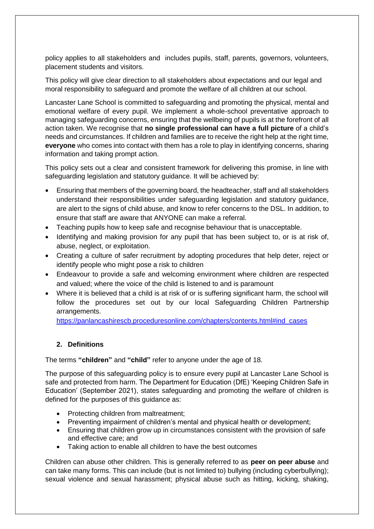policy applies to all stakeholders and includes pupils, staff, parents, governors, volunteers, placement students and visitors.

This policy will give clear direction to all stakeholders about expectations and our legal and moral responsibility to safeguard and promote the welfare of all children at our school.

Lancaster Lane School is committed to safeguarding and promoting the physical, mental and emotional welfare of every pupil. We implement a whole-school preventative approach to managing safeguarding concerns, ensuring that the wellbeing of pupils is at the forefront of all action taken. We recognise that **no single professional can have a full picture** of a child's needs and circumstances. If children and families are to receive the right help at the right time, **everyone** who comes into contact with them has a role to play in identifying concerns, sharing information and taking prompt action.

This policy sets out a clear and consistent framework for delivering this promise, in line with safeguarding legislation and statutory guidance. It will be achieved by:

- Ensuring that members of the governing board, the headteacher, staff and all stakeholders understand their responsibilities under safeguarding legislation and statutory guidance, are alert to the signs of child abuse, and know to refer concerns to the DSL. In addition, to ensure that staff are aware that ANYONE can make a referral.
- Teaching pupils how to keep safe and recognise behaviour that is unacceptable.
- Identifying and making provision for any pupil that has been subject to, or is at risk of, abuse, neglect, or exploitation.
- Creating a culture of safer recruitment by adopting procedures that help deter, reject or identify people who might pose a risk to children
- Endeavour to provide a safe and welcoming environment where children are respected and valued; where the voice of the child is listened to and is paramount
- Where it is believed that a child is at risk of or is suffering significant harm, the school will follow the procedures set out by our local Safeguarding Children Partnership arrangements.

[https://panlancashirescb.proceduresonline.com/chapters/contents.html#ind\\_cases](https://panlancashirescb.proceduresonline.com/chapters/contents.html#ind_cases)

# **2. Definitions**

The terms **"children"** and **"child"** refer to anyone under the age of 18.

The purpose of this safeguarding policy is to ensure every pupil at Lancaster Lane School is safe and protected from harm. The Department for Education (DfE) 'Keeping Children Safe in Education' (September 2021), states safeguarding and promoting the welfare of children is defined for the purposes of this guidance as:

- Protecting children from maltreatment;
- Preventing impairment of children's mental and physical health or development;
- Ensuring that children grow up in circumstances consistent with the provision of safe and effective care; and
- Taking action to enable all children to have the best outcomes

Children can abuse other children. This is generally referred to as **peer on peer abuse** and can take many forms. This can include (but is not limited to) bullying (including cyberbullying); sexual violence and sexual harassment; physical abuse such as hitting, kicking, shaking,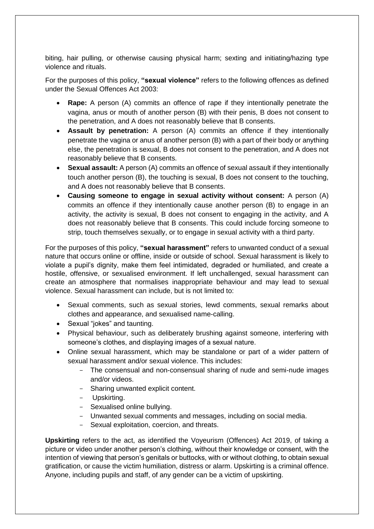biting, hair pulling, or otherwise causing physical harm; sexting and initiating/hazing type violence and rituals.

For the purposes of this policy, **"sexual violence"** refers to the following offences as defined under the Sexual Offences Act 2003:

- **Rape:** A person (A) commits an offence of rape if they intentionally penetrate the vagina, anus or mouth of another person (B) with their penis, B does not consent to the penetration, and A does not reasonably believe that B consents.
- **Assault by penetration:** A person (A) commits an offence if they intentionally penetrate the vagina or anus of another person (B) with a part of their body or anything else, the penetration is sexual, B does not consent to the penetration, and A does not reasonably believe that B consents.
- **Sexual assault:** A person (A) commits an offence of sexual assault if they intentionally touch another person (B), the touching is sexual, B does not consent to the touching, and A does not reasonably believe that B consents.
- **Causing someone to engage in sexual activity without consent:** A person (A) commits an offence if they intentionally cause another person (B) to engage in an activity, the activity is sexual, B does not consent to engaging in the activity, and A does not reasonably believe that B consents. This could include forcing someone to strip, touch themselves sexually, or to engage in sexual activity with a third party.

For the purposes of this policy, **"sexual harassment"** refers to unwanted conduct of a sexual nature that occurs online or offline, inside or outside of school. Sexual harassment is likely to violate a pupil's dignity, make them feel intimidated, degraded or humiliated, and create a hostile, offensive, or sexualised environment. If left unchallenged, sexual harassment can create an atmosphere that normalises inappropriate behaviour and may lead to sexual violence. Sexual harassment can include, but is not limited to:

- Sexual comments, such as sexual stories, lewd comments, sexual remarks about clothes and appearance, and sexualised name-calling.
- Sexual "jokes" and taunting.
- Physical behaviour, such as deliberately brushing against someone, interfering with someone's clothes, and displaying images of a sexual nature.
- Online sexual harassment, which may be standalone or part of a wider pattern of sexual harassment and/or sexual violence. This includes:
	- The consensual and non-consensual sharing of nude and semi-nude images and/or videos.
	- Sharing unwanted explicit content.
	- Upskirting.
	- Sexualised online bullying.
	- Unwanted sexual comments and messages, including on social media.
	- Sexual exploitation, coercion, and threats.

**Upskirting** refers to the act, as identified the Voyeurism (Offences) Act 2019, of taking a picture or video under another person's clothing, without their knowledge or consent, with the intention of viewing that person's genitals or buttocks, with or without clothing, to obtain sexual gratification, or cause the victim humiliation, distress or alarm. Upskirting is a criminal offence. Anyone, including pupils and staff, of any gender can be a victim of upskirting.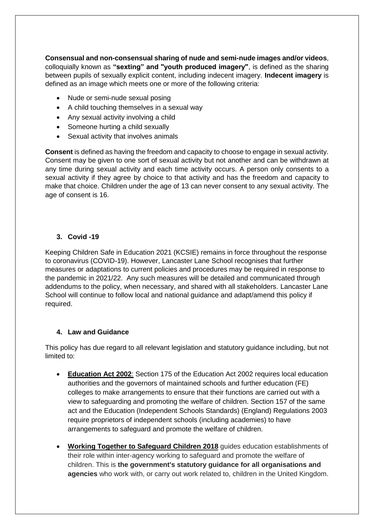**Consensual and non-consensual sharing of nude and semi-nude images and/or videos**, colloquially known as **"sexting" and "youth produced imagery"**, is defined as the sharing between pupils of sexually explicit content, including indecent imagery. **Indecent imagery** is defined as an image which meets one or more of the following criteria:

- Nude or semi-nude sexual posing
- A child touching themselves in a sexual way
- Any sexual activity involving a child
- Someone hurting a child sexually
- Sexual activity that involves animals

**Consent** is defined as having the freedom and capacity to choose to engage in sexual activity. Consent may be given to one sort of sexual activity but not another and can be withdrawn at any time during sexual activity and each time activity occurs. A person only consents to a sexual activity if they agree by choice to that activity and has the freedom and capacity to make that choice. Children under the age of 13 can never consent to any sexual activity. The age of consent is 16.

#### **3. Covid -19**

Keeping Children Safe in Education 2021 (KCSIE) remains in force throughout the response to coronavirus (COVID-19). However, Lancaster Lane School recognises that further measures or adaptations to current policies and procedures may be required in response to the pandemic in 2021/22. Any such measures will be detailed and communicated through addendums to the policy, when necessary, and shared with all stakeholders. Lancaster Lane School will continue to follow local and national guidance and adapt/amend this policy if required.

#### **4. Law and Guidance**

This policy has due regard to all relevant legislation and statutory guidance including, but not limited to:

- **[Education Act 2002](http://www.legislation.gov.uk/ukpga/2002/32/contents)**: Section 175 of the Education Act 2002 requires local education authorities and the governors of maintained schools and further education (FE) colleges to make arrangements to ensure that their functions are carried out with a view to safeguarding and promoting the welfare of children. Section 157 of the same act and the Education (Independent Schools Standards) (England) Regulations 2003 require proprietors of independent schools (including academies) to have arrangements to safeguard and promote the welfare of children.
- **[Working Together to Safeguard Children 2018](https://www.gov.uk/government/publications/working-together-to-safeguard-children--2)** guides education establishments of their role within inter-agency working to safeguard and promote the welfare of children. This is **the government's statutory guidance for all organisations and agencies** who work with, or carry out work related to, children in the United Kingdom.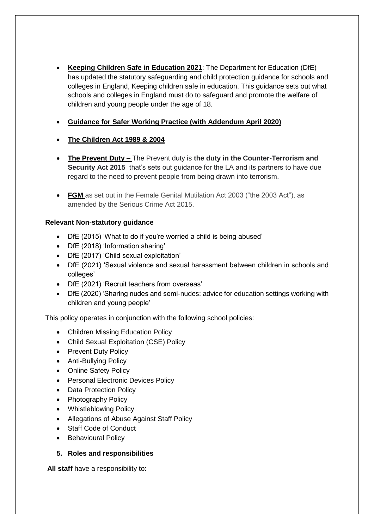- **[Keeping Children Safe in Education 2021](https://assets.publishing.service.gov.uk/government/uploads/system/uploads/attachment_data/file/892394/Keeping_children_safe_in_education_2020.pdf)**: The Department for Education (DfE) has updated the statutory safeguarding and child protection guidance for schools and colleges in England, Keeping children safe in education. This guidance sets out what schools and colleges in England must do to safeguard and promote the welfare of children and young people under the age of 18.
- **[Guidance for Safer Working Practice \(with Addendum April 2020\)](https://www.saferrecruitmentconsortium.org/GSWP%20COVID%20addendum%20April%202020%20final-1.pdf)**
- **[The Children Act 1989](http://www.legislation.gov.uk/ukpga/1989/41/contents) & 2004**
- **The Prevent Duty –** The Prevent duty is **the duty in the Counter-Terrorism and Security Act 2015** that's sets out guidance for the LA and its partners to have due regard to the need to prevent people from being drawn into terrorism.
- **FGM** as set out in the Female Genital Mutilation Act 2003 ("the 2003 Act"), as amended by the Serious Crime Act 2015.

# **Relevant Non-statutory guidance**

- DfE (2015) 'What to do if you're worried a child is being abused'
- DfE (2018) 'Information sharing'
- DfE (2017) 'Child sexual exploitation'
- DfE (2021) 'Sexual violence and sexual harassment between children in schools and colleges'
- DfE (2021) 'Recruit teachers from overseas'
- DfE (2020) 'Sharing nudes and semi-nudes: advice for education settings working with children and young people'

This policy operates in conjunction with the following school policies:

- Children Missing Education Policy
- Child Sexual Exploitation (CSE) Policy
- Prevent Duty Policy
- Anti-Bullying Policy
- Online Safety Policy
- Personal Electronic Devices Policy
- Data Protection Policy
- Photography Policy
- Whistleblowing Policy
- Allegations of Abuse Against Staff Policy
- Staff Code of Conduct
- Behavioural Policy

# **5. Roles and responsibilities**

**All staff** have a responsibility to: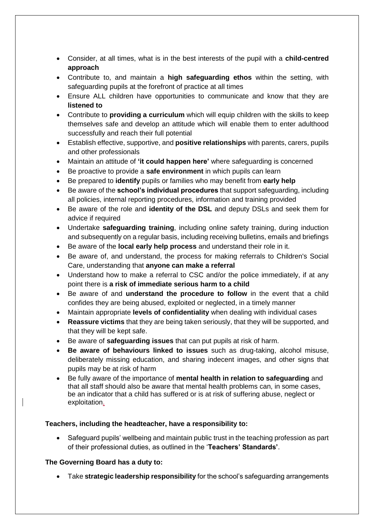- Consider, at all times, what is in the best interests of the pupil with a **child-centred approach**
- Contribute to, and maintain a **high safeguarding ethos** within the setting, with safeguarding pupils at the forefront of practice at all times
- Ensure ALL children have opportunities to communicate and know that they are **listened to**
- Contribute to **providing a curriculum** which will equip children with the skills to keep themselves safe and develop an attitude which will enable them to enter adulthood successfully and reach their full potential
- Establish effective, supportive, and **positive relationships** with parents, carers, pupils and other professionals
- Maintain an attitude of **'it could happen here'** where safeguarding is concerned
- Be proactive to provide a **safe environment** in which pupils can learn
- Be prepared to **identify** pupils or families who may benefit from **early help**
- Be aware of the **school's individual procedures** that support safeguarding, including all policies, internal reporting procedures, information and training provided
- Be aware of the role and **identity of the DSL** and deputy DSLs and seek them for advice if required
- Undertake **safeguarding training**, including online safety training, during induction and subsequently on a regular basis, including receiving bulletins, emails and briefings
- Be aware of the **local early help process** and understand their role in it.
- Be aware of, and understand, the process for making referrals to Children's Social Care, understanding that **anyone can make a referral**
- Understand how to make a referral to CSC and/or the police immediately, if at any point there is **a risk of immediate serious harm to a child**
- Be aware of and **understand the procedure to follow** in the event that a child confides they are being abused, exploited or neglected, in a timely manner
- Maintain appropriate **levels of confidentiality** when dealing with individual cases
- **Reassure victims** that they are being taken seriously, that they will be supported, and that they will be kept safe.
- Be aware of **safeguarding issues** that can put pupils at risk of harm.
- **Be aware of behaviours linked to issues** such as drug-taking, alcohol misuse, deliberately missing education, and sharing indecent images, and other signs that pupils may be at risk of harm
- Be fully aware of the importance of **mental health in relation to safeguarding** and that all staff should also be aware that mental health problems can, in some cases, be an indicator that a child has suffered or is at risk of suffering abuse, neglect or exploitation.

# **Teachers, including the headteacher, have a responsibility to:**

 Safeguard pupils' wellbeing and maintain public trust in the teaching profession as part of their professional duties, as outlined in the '**Teachers' Standards'**.

# **The Governing Board has a duty to:**

Take **strategic leadership responsibility** for the school's safeguarding arrangements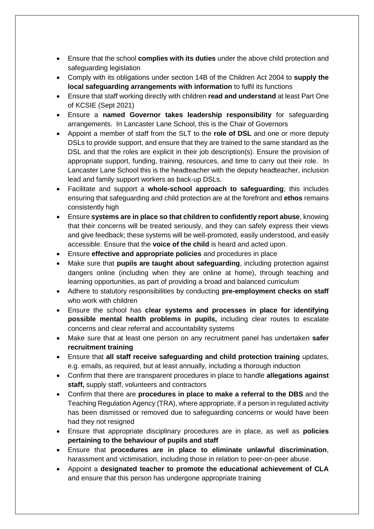- Ensure that the school **complies with its duties** under the above child protection and safeguarding legislation
- Comply with its obligations under section 14B of the Children Act 2004 to **supply the local safeguarding arrangements with information** to fulfil its functions
- Ensure that staff working directly with children **read and understand** at least Part One of KCSIE (Sept 2021)
- Ensure a **named Governor takes leadership responsibility** for safeguarding arrangements. In Lancaster Lane School, this is the Chair of Governors
- Appoint a member of staff from the SLT to the **role of DSL** and one or more deputy DSLs to provide support, and ensure that they are trained to the same standard as the DSL and that the roles are explicit in their job description(s). Ensure the provision of appropriate support, funding, training, resources, and time to carry out their role. In Lancaster Lane School this is the headteacher with the deputy headteacher, inclusion lead and family support workers as back-up DSLs.
- Facilitate and support a **whole-school approach to safeguarding**; this includes ensuring that safeguarding and child protection are at the forefront and **ethos** remains consistently high
- Ensure **systems are in place so that children to confidently report abuse**, knowing that their concerns will be treated seriously, and they can safely express their views and give feedback; these systems will be well-promoted, easily understood, and easily accessible. Ensure that the **voice of the child** is heard and acted upon.
- Ensure **effective and appropriate policies** and procedures in place
- Make sure that **pupils are taught about safeguarding**, including protection against dangers online (including when they are online at home), through teaching and learning opportunities, as part of providing a broad and balanced curriculum
- Adhere to statutory responsibilities by conducting **pre-employment checks on staff** who work with children
- Ensure the school has **clear systems and processes in place for identifying possible mental health problems in pupils,** including clear routes to escalate concerns and clear referral and accountability systems
- Make sure that at least one person on any recruitment panel has undertaken **safer recruitment training**
- Ensure that **all staff receive safeguarding and child protection training** updates, e.g. emails, as required, but at least annually, including a thorough induction
- Confirm that there are transparent procedures in place to handle **allegations against staff,** supply staff, volunteers and contractors
- Confirm that there are **procedures in place to make a referral to the DBS** and the Teaching Regulation Agency (TRA), where appropriate, if a person in regulated activity has been dismissed or removed due to safeguarding concerns or would have been had they not resigned
- Ensure that appropriate disciplinary procedures are in place, as well as **policies pertaining to the behaviour of pupils and staff**
- Ensure that **procedures are in place to eliminate unlawful discrimination**, harassment and victimisation, including those in relation to peer-on-peer abuse.
- Appoint a **designated teacher to promote the educational achievement of CLA** and ensure that this person has undergone appropriate training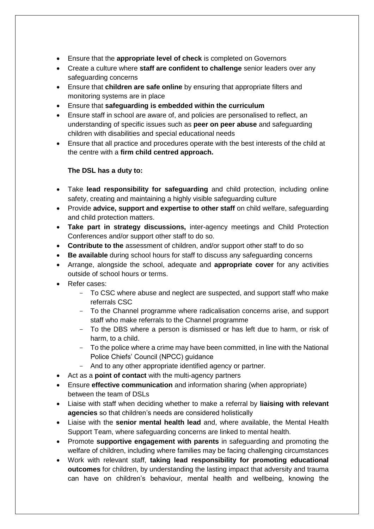- Ensure that the **appropriate level of check** is completed on Governors
- Create a culture where **staff are confident to challenge** senior leaders over any safeguarding concerns
- Ensure that **children are safe online** by ensuring that appropriate filters and monitoring systems are in place
- Ensure that **safeguarding is embedded within the curriculum**
- Ensure staff in school are aware of, and policies are personalised to reflect, an understanding of specific issues such as **peer on peer abuse** and safeguarding children with disabilities and special educational needs
- Ensure that all practice and procedures operate with the best interests of the child at the centre with a **firm child centred approach.**

# **The DSL has a duty to:**

- Take **lead responsibility for safeguarding** and child protection, including online safety, creating and maintaining a highly visible safeguarding culture
- Provide **advice, support and expertise to other staff** on child welfare, safeguarding and child protection matters.
- **Take part in strategy discussions,** inter-agency meetings and Child Protection Conferences and/or support other staff to do so.
- **Contribute to the** assessment of children, and/or support other staff to do so
- **Be available** during school hours for staff to discuss any safeguarding concerns
- Arrange, alongside the school, adequate and **appropriate cover** for any activities outside of school hours or terms.
- Refer cases:
	- To CSC where abuse and neglect are suspected, and support staff who make referrals CSC
	- To the Channel programme where radicalisation concerns arise, and support staff who make referrals to the Channel programme
	- To the DBS where a person is dismissed or has left due to harm, or risk of harm, to a child.
	- To the police where a crime may have been committed, in line with the National Police Chiefs' Council (NPCC) guidance
	- And to any other appropriate identified agency or partner.
- Act as a **point of contact** with the multi-agency partners
- Ensure **effective communication** and information sharing (when appropriate) between the team of DSLs
- Liaise with staff when deciding whether to make a referral by **liaising with relevant agencies** so that children's needs are considered holistically
- Liaise with the **senior mental health lead** and, where available, the Mental Health Support Team, where safeguarding concerns are linked to mental health.
- Promote **supportive engagement with parents** in safeguarding and promoting the welfare of children, including where families may be facing challenging circumstances
- Work with relevant staff, **taking lead responsibility for promoting educational outcomes** for children, by understanding the lasting impact that adversity and trauma can have on children's behaviour, mental health and wellbeing, knowing the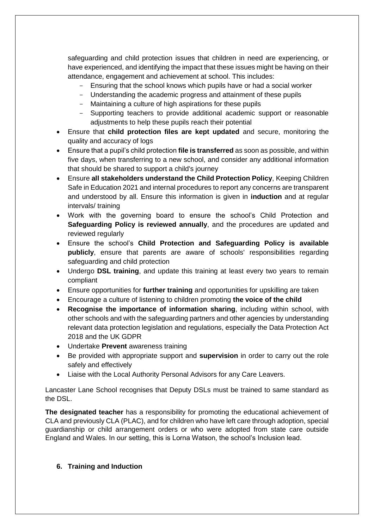safeguarding and child protection issues that children in need are experiencing, or have experienced, and identifying the impact that these issues might be having on their attendance, engagement and achievement at school. This includes:

- Ensuring that the school knows which pupils have or had a social worker
- Understanding the academic progress and attainment of these pupils
- Maintaining a culture of high aspirations for these pupils
- Supporting teachers to provide additional academic support or reasonable adjustments to help these pupils reach their potential
- Ensure that **child protection files are kept updated** and secure, monitoring the quality and accuracy of logs
- Ensure that a pupil's child protection **file is transferred** as soon as possible, and within five days, when transferring to a new school, and consider any additional information that should be shared to support a child's journey
- Ensure **all stakeholders understand the Child Protection Policy**, Keeping Children Safe in Education 2021 and internal procedures to report any concerns are transparent and understood by all. Ensure this information is given in **induction** and at regular intervals/ training
- Work with the governing board to ensure the school's Child Protection and **Safeguarding Policy is reviewed annually**, and the procedures are updated and reviewed regularly
- Ensure the school's **Child Protection and Safeguarding Policy is available publicly**, ensure that parents are aware of schools' responsibilities regarding safeguarding and child protection
- Undergo **DSL training**, and update this training at least every two years to remain compliant
- Ensure opportunities for **further training** and opportunities for upskilling are taken
- Encourage a culture of listening to children promoting **the voice of the child**
- **Recognise the importance of information sharing**, including within school, with other schools and with the safeguarding partners and other agencies by understanding relevant data protection legislation and regulations, especially the Data Protection Act 2018 and the UK GDPR
- Undertake **Prevent** awareness training
- Be provided with appropriate support and **supervision** in order to carry out the role safely and effectively
- Liaise with the Local Authority Personal Advisors for any Care Leavers.

Lancaster Lane School recognises that Deputy DSLs must be trained to same standard as the DSL.

**The designated teacher** has a responsibility for promoting the educational achievement of CLA and previously CLA (PLAC), and for children who have left care through adoption, special guardianship or child arrangement orders or who were adopted from state care outside England and Wales. In our setting, this is Lorna Watson, the school's Inclusion lead.

#### **6. Training and Induction**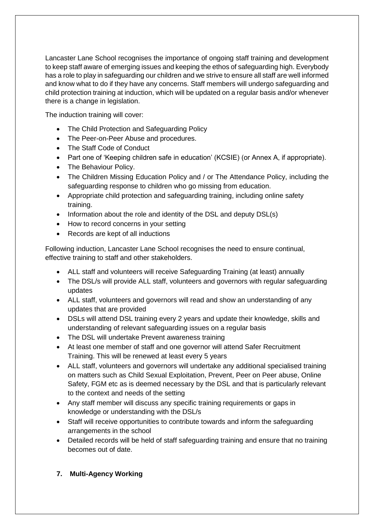Lancaster Lane School recognises the importance of ongoing staff training and development to keep staff aware of emerging issues and keeping the ethos of safeguarding high. Everybody has a role to play in safeguarding our children and we strive to ensure all staff are well informed and know what to do if they have any concerns. Staff members will undergo safeguarding and child protection training at induction, which will be updated on a regular basis and/or whenever there is a change in legislation.

The induction training will cover:

- The Child Protection and Safeguarding Policy
- The Peer-on-Peer Abuse and procedures.
- The Staff Code of Conduct
- Part one of 'Keeping children safe in education' (KCSIE) (or Annex A, if appropriate).
- The Behaviour Policy.
- The Children Missing Education Policy and / or The Attendance Policy, including the safeguarding response to children who go missing from education.
- Appropriate child protection and safeguarding training, including online safety training.
- $\bullet$  Information about the role and identity of the DSL and deputy DSL(s)
- How to record concerns in your setting
- Records are kept of all inductions

Following induction, Lancaster Lane School recognises the need to ensure continual, effective training to staff and other stakeholders.

- ALL staff and volunteers will receive Safeguarding Training (at least) annually
- The DSL/s will provide ALL staff, volunteers and governors with regular safeguarding updates
- ALL staff, volunteers and governors will read and show an understanding of any updates that are provided
- DSLs will attend DSL training every 2 years and update their knowledge, skills and understanding of relevant safeguarding issues on a regular basis
- The DSL will undertake Prevent awareness training
- At least one member of staff and one governor will attend Safer Recruitment Training. This will be renewed at least every 5 years
- ALL staff, volunteers and governors will undertake any additional specialised training on matters such as Child Sexual Exploitation, Prevent, Peer on Peer abuse, Online Safety, FGM etc as is deemed necessary by the DSL and that is particularly relevant to the context and needs of the setting
- Any staff member will discuss any specific training requirements or gaps in knowledge or understanding with the DSL/s
- Staff will receive opportunities to contribute towards and inform the safeguarding arrangements in the school
- Detailed records will be held of staff safeguarding training and ensure that no training becomes out of date.
- **7. Multi-Agency Working**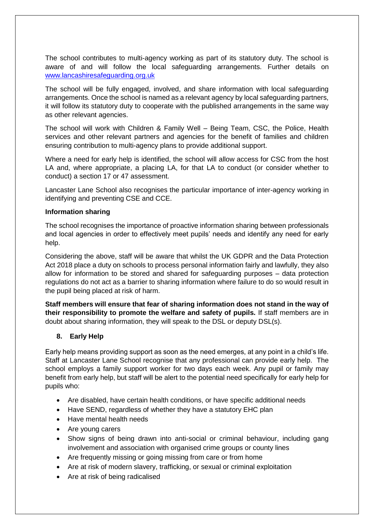The school contributes to multi-agency working as part of its statutory duty. The school is aware of and will follow the local safeguarding arrangements. Further details on [www.lancashiresafeguarding.org.uk](http://www.lancashiresafeguarding.org.uk/)

The school will be fully engaged, involved, and share information with local safeguarding arrangements. Once the school is named as a relevant agency by local safeguarding partners, it will follow its statutory duty to cooperate with the published arrangements in the same way as other relevant agencies.

The school will work with Children & Family Well – Being Team, CSC, the Police, Health services and other relevant partners and agencies for the benefit of families and children ensuring contribution to multi-agency plans to provide additional support.

Where a need for early help is identified, the school will allow access for CSC from the host LA and, where appropriate, a placing LA, for that LA to conduct (or consider whether to conduct) a section 17 or 47 assessment.

Lancaster Lane School also recognises the particular importance of inter-agency working in identifying and preventing CSE and CCE.

#### **Information sharing**

The school recognises the importance of proactive information sharing between professionals and local agencies in order to effectively meet pupils' needs and identify any need for early help.

Considering the above, staff will be aware that whilst the UK GDPR and the Data Protection Act 2018 place a duty on schools to process personal information fairly and lawfully, they also allow for information to be stored and shared for safeguarding purposes – data protection regulations do not act as a barrier to sharing information where failure to do so would result in the pupil being placed at risk of harm.

**Staff members will ensure that fear of sharing information does not stand in the way of their responsibility to promote the welfare and safety of pupils.** If staff members are in doubt about sharing information, they will speak to the DSL or deputy DSL(s).

#### **8. Early Help**

Early help means providing support as soon as the need emerges, at any point in a child's life. Staff at Lancaster Lane School recognise that any professional can provide early help. The school employs a family support worker for two days each week. Any pupil or family may benefit from early help, but staff will be alert to the potential need specifically for early help for pupils who:

- Are disabled, have certain health conditions, or have specific additional needs
- Have SEND, regardless of whether they have a statutory EHC plan
- Have mental health needs
- Are young carers
- Show signs of being drawn into anti-social or criminal behaviour, including gang involvement and association with organised crime groups or county lines
- Are frequently missing or going missing from care or from home
- Are at risk of modern slavery, trafficking, or sexual or criminal exploitation
- Are at risk of being radicalised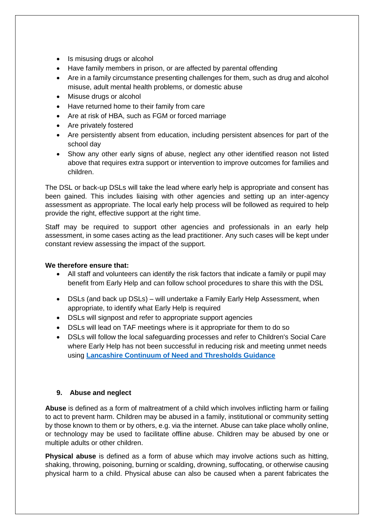- Is misusing drugs or alcohol
- Have family members in prison, or are affected by parental offending
- Are in a family circumstance presenting challenges for them, such as drug and alcohol misuse, adult mental health problems, or domestic abuse
- Misuse drugs or alcohol
- Have returned home to their family from care
- Are at risk of HBA, such as FGM or forced marriage
- Are privately fostered
- Are persistently absent from education, including persistent absences for part of the school day
- Show any other early signs of abuse, neglect any other identified reason not listed above that requires extra support or intervention to improve outcomes for families and children.

The DSL or back-up DSLs will take the lead where early help is appropriate and consent has been gained. This includes liaising with other agencies and setting up an inter-agency assessment as appropriate. The local early help process will be followed as required to help provide the right, effective support at the right time.

Staff may be required to support other agencies and professionals in an early help assessment, in some cases acting as the lead practitioner. Any such cases will be kept under constant review assessing the impact of the support.

#### **We therefore ensure that:**

- All staff and volunteers can identify the risk factors that indicate a family or pupil may benefit from Early Help and can follow school procedures to share this with the DSL
- DSLs (and back up DSLs) will undertake a Family Early Help Assessment, when appropriate, to identify what Early Help is required
- DSLs will signpost and refer to appropriate support agencies
- DSLs will lead on TAF meetings where is it appropriate for them to do so
- DSLs will follow the local safeguarding processes and refer to Children's Social Care where Early Help has not been successful in reducing risk and meeting unmet needs using **[Lancashire Continuum of Need and Thresholds Guidance](http://www.lancashiresafeguarding.org.uk/resources/assessment-and-referral.aspx)**

#### **9. Abuse and neglect**

**Abuse** is defined as a form of maltreatment of a child which involves inflicting harm or failing to act to prevent harm. Children may be abused in a family, institutional or community setting by those known to them or by others, e.g. via the internet. Abuse can take place wholly online, or technology may be used to facilitate offline abuse. Children may be abused by one or multiple adults or other children.

**Physical abuse** is defined as a form of abuse which may involve actions such as hitting, shaking, throwing, poisoning, burning or scalding, drowning, suffocating, or otherwise causing physical harm to a child. Physical abuse can also be caused when a parent fabricates the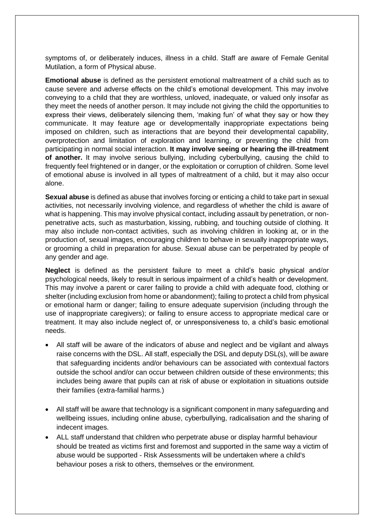symptoms of, or deliberately induces, illness in a child. Staff are aware of Female Genital Mutilation, a form of Physical abuse.

**Emotional abuse** is defined as the persistent emotional maltreatment of a child such as to cause severe and adverse effects on the child's emotional development. This may involve conveying to a child that they are worthless, unloved, inadequate, or valued only insofar as they meet the needs of another person. It may include not giving the child the opportunities to express their views, deliberately silencing them, 'making fun' of what they say or how they communicate. It may feature age or developmentally inappropriate expectations being imposed on children, such as interactions that are beyond their developmental capability, overprotection and limitation of exploration and learning, or preventing the child from participating in normal social interaction. **It may involve seeing or hearing the ill-treatment of another.** It may involve serious bullying, including cyberbullying, causing the child to frequently feel frightened or in danger, or the exploitation or corruption of children. Some level of emotional abuse is involved in all types of maltreatment of a child, but it may also occur alone.

**Sexual abuse** is defined as abuse that involves forcing or enticing a child to take part in sexual activities, not necessarily involving violence, and regardless of whether the child is aware of what is happening. This may involve physical contact, including assault by penetration, or nonpenetrative acts, such as masturbation, kissing, rubbing, and touching outside of clothing. It may also include non-contact activities, such as involving children in looking at, or in the production of, sexual images, encouraging children to behave in sexually inappropriate ways, or grooming a child in preparation for abuse. Sexual abuse can be perpetrated by people of any gender and age.

**Neglect** is defined as the persistent failure to meet a child's basic physical and/or psychological needs, likely to result in serious impairment of a child's health or development. This may involve a parent or carer failing to provide a child with adequate food, clothing or shelter (including exclusion from home or abandonment); failing to protect a child from physical or emotional harm or danger; failing to ensure adequate supervision (including through the use of inappropriate caregivers); or failing to ensure access to appropriate medical care or treatment. It may also include neglect of, or unresponsiveness to, a child's basic emotional needs.

- All staff will be aware of the indicators of abuse and neglect and be vigilant and always raise concerns with the DSL. All staff, especially the DSL and deputy DSL(s), will be aware that safeguarding incidents and/or behaviours can be associated with contextual factors outside the school and/or can occur between children outside of these environments; this includes being aware that pupils can at risk of abuse or exploitation in situations outside their families (extra-familial harms.)
- All staff will be aware that technology is a significant component in many safeguarding and wellbeing issues, including online abuse, cyberbullying, radicalisation and the sharing of indecent images.
- ALL staff understand that children who perpetrate abuse or display harmful behaviour should be treated as victims first and foremost and supported in the same way a victim of abuse would be supported - Risk Assessments will be undertaken where a child's behaviour poses a risk to others, themselves or the environment.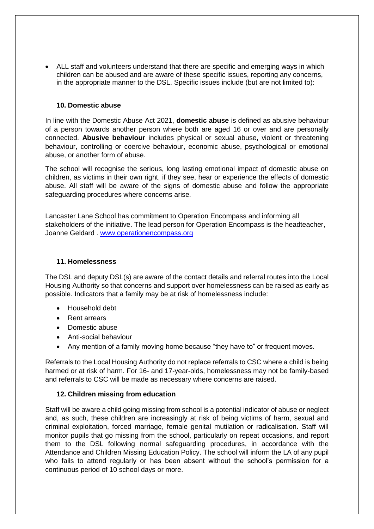ALL staff and volunteers understand that there are specific and emerging ways in which children can be abused and are aware of these specific issues, reporting any concerns, in the appropriate manner to the DSL. Specific issues include (but are not limited to):

#### **10. Domestic abuse**

In line with the Domestic Abuse Act 2021, **domestic abuse** is defined as abusive behaviour of a person towards another person where both are aged 16 or over and are personally connected. **Abusive behaviour** includes physical or sexual abuse, violent or threatening behaviour, controlling or coercive behaviour, economic abuse, psychological or emotional abuse, or another form of abuse.

The school will recognise the serious, long lasting emotional impact of domestic abuse on children, as victims in their own right, if they see, hear or experience the effects of domestic abuse. All staff will be aware of the signs of domestic abuse and follow the appropriate safeguarding procedures where concerns arise.

Lancaster Lane School has commitment to Operation Encompass and informing all stakeholders of the initiative. The lead person for Operation Encompass is the headteacher, Joanne Geldard . [www.operationencompass.org](http://www.operationencompass.org/)

#### **11. Homelessness**

The DSL and deputy DSL(s) are aware of the contact details and referral routes into the Local Housing Authority so that concerns and support over homelessness can be raised as early as possible. Indicators that a family may be at risk of homelessness include:

- Household debt
- Rent arrears
- Domestic abuse
- Anti-social behaviour
- Any mention of a family moving home because "they have to" or frequent moves.

Referrals to the Local Housing Authority do not replace referrals to CSC where a child is being harmed or at risk of harm. For 16- and 17-year-olds, homelessness may not be family-based and referrals to CSC will be made as necessary where concerns are raised.

#### **12. Children missing from education**

Staff will be aware a child going missing from school is a potential indicator of abuse or neglect and, as such, these children are increasingly at risk of being victims of harm, sexual and criminal exploitation, forced marriage, female genital mutilation or radicalisation. Staff will monitor pupils that go missing from the school, particularly on repeat occasions, and report them to the DSL following normal safeguarding procedures, in accordance with the Attendance and Children Missing Education Policy. The school will inform the LA of any pupil who fails to attend regularly or has been absent without the school's permission for a continuous period of 10 school days or more.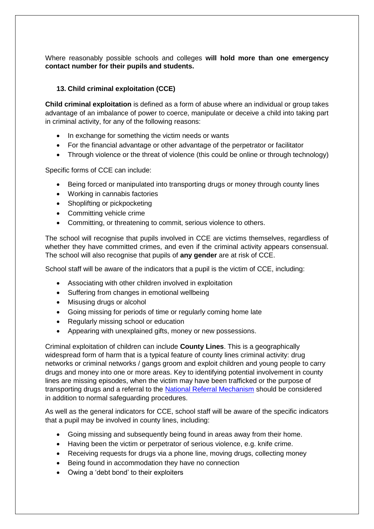Where reasonably possible schools and colleges **will hold more than one emergency contact number for their pupils and students.** 

#### **13. Child criminal exploitation (CCE)**

**Child criminal exploitation** is defined as a form of abuse where an individual or group takes advantage of an imbalance of power to coerce, manipulate or deceive a child into taking part in criminal activity, for any of the following reasons:

- In exchange for something the victim needs or wants
- For the financial advantage or other advantage of the perpetrator or facilitator
- Through violence or the threat of violence (this could be online or through technology)

Specific forms of CCE can include:

- Being forced or manipulated into transporting drugs or money through county lines
- Working in cannabis factories
- Shoplifting or pickpocketing
- Committing vehicle crime
- Committing, or threatening to commit, serious violence to others.

The school will recognise that pupils involved in CCE are victims themselves, regardless of whether they have committed crimes, and even if the criminal activity appears consensual. The school will also recognise that pupils of **any gender** are at risk of CCE.

School staff will be aware of the indicators that a pupil is the victim of CCE, including:

- Associating with other children involved in exploitation
- Suffering from changes in emotional wellbeing
- Misusing drugs or alcohol
- Going missing for periods of time or regularly coming home late
- Regularly missing school or education
- Appearing with unexplained gifts, money or new possessions.

Criminal exploitation of children can include **County Lines**. This is a geographically widespread form of harm that is a typical feature of county lines criminal activity: drug networks or criminal networks / gangs groom and exploit children and young people to carry drugs and money into one or more areas. Key to identifying potential involvement in county lines are missing episodes, when the victim may have been trafficked or the purpose of transporting drugs and a referral to the [National Referral Mechanism](https://www.gov.uk/government/publications/human-trafficking-victims-referral-and-assessment-forms/guidance-on-the-national-referral-mechanism-for-potential-adult-victims-of-modern-slavery-england-and-wales#what-the-national-referral-mechanism-is) should be considered in addition to normal safeguarding procedures.

As well as the general indicators for CCE, school staff will be aware of the specific indicators that a pupil may be involved in county lines, including:

- Going missing and subsequently being found in areas away from their home.
- Having been the victim or perpetrator of serious violence, e.g. knife crime.
- Receiving requests for drugs via a phone line, moving drugs, collecting money
- Being found in accommodation they have no connection
- Owing a 'debt bond' to their exploiters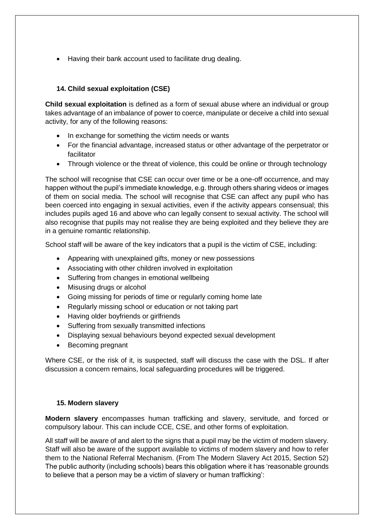• Having their bank account used to facilitate drug dealing.

#### **14. Child sexual exploitation (CSE)**

**Child sexual exploitation** is defined as a form of sexual abuse where an individual or group takes advantage of an imbalance of power to coerce, manipulate or deceive a child into sexual activity, for any of the following reasons:

- In exchange for something the victim needs or wants
- For the financial advantage, increased status or other advantage of the perpetrator or facilitator
- Through violence or the threat of violence, this could be online or through technology

The school will recognise that CSE can occur over time or be a one-off occurrence, and may happen without the pupil's immediate knowledge, e.g. through others sharing videos or images of them on social media. The school will recognise that CSE can affect any pupil who has been coerced into engaging in sexual activities, even if the activity appears consensual; this includes pupils aged 16 and above who can legally consent to sexual activity. The school will also recognise that pupils may not realise they are being exploited and they believe they are in a genuine romantic relationship.

School staff will be aware of the key indicators that a pupil is the victim of CSE, including:

- Appearing with unexplained gifts, money or new possessions
- Associating with other children involved in exploitation
- Suffering from changes in emotional wellbeing
- Misusing drugs or alcohol
- Going missing for periods of time or regularly coming home late
- Regularly missing school or education or not taking part
- Having older bovfriends or girlfriends
- Suffering from sexually transmitted infections
- Displaying sexual behaviours beyond expected sexual development
- Becoming pregnant

Where CSE, or the risk of it, is suspected, staff will discuss the case with the DSL. If after discussion a concern remains, local safeguarding procedures will be triggered.

#### **15. Modern slavery**

**Modern slavery** encompasses human trafficking and slavery, servitude, and forced or compulsory labour. This can include CCE, CSE, and other forms of exploitation.

All staff will be aware of and alert to the signs that a pupil may be the victim of modern slavery. Staff will also be aware of the support available to victims of modern slavery and how to refer them to the National Referral Mechanism. (From The Modern Slavery Act 2015, Section 52) The public authority (including schools) bears this obligation where it has 'reasonable grounds to believe that a person may be a victim of slavery or human trafficking':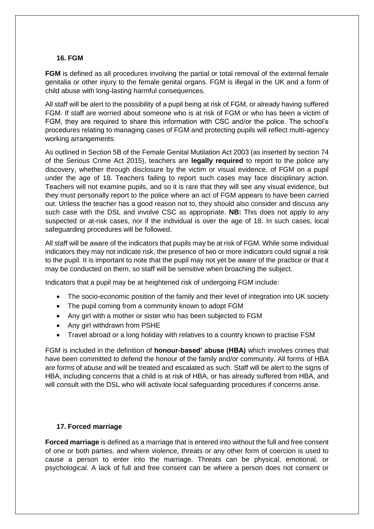#### **16. FGM**

**FGM** is defined as all procedures involving the partial or total removal of the external female genitalia or other injury to the female genital organs. FGM is illegal in the UK and a form of child abuse with long-lasting harmful consequences.

All staff will be alert to the possibility of a pupil being at risk of FGM, or already having suffered FGM. If staff are worried about someone who is at risk of FGM or who has been a victim of FGM, they are required to share this information with CSC and/or the police. The school's procedures relating to managing cases of FGM and protecting pupils will reflect multi-agency working arrangements.

As outlined in Section 5B of the Female Genital Mutilation Act 2003 (as inserted by section 74 of the Serious Crime Act 2015), teachers are **legally required** to report to the police any discovery, whether through disclosure by the victim or visual evidence, of FGM on a pupil under the age of 18. Teachers failing to report such cases may face disciplinary action. Teachers will not examine pupils, and so it is rare that they will see any visual evidence, but they must personally report to the police where an act of FGM appears to have been carried out. Unless the teacher has a good reason not to, they should also consider and discuss any such case with the DSL and involve CSC as appropriate. **NB:** This does not apply to any suspected or at-risk cases, nor if the individual is over the age of 18. In such cases, local safeguarding procedures will be followed.

All staff will be aware of the indicators that pupils may be at risk of FGM. While some individual indicators they may not indicate risk, the presence of two or more indicators could signal a risk to the pupil. It is important to note that the pupil may not yet be aware of the practice or that it may be conducted on them, so staff will be sensitive when broaching the subject.

Indicators that a pupil may be at heightened risk of undergoing FGM include:

- The socio-economic position of the family and their level of integration into UK society
- The pupil coming from a community known to adopt FGM
- Any girl with a mother or sister who has been subjected to FGM
- Any girl withdrawn from PSHE
- Travel abroad or a long holiday with relatives to a country known to practise FSM

FGM is included in the definition of **honour-based' abuse (HBA)** which involves crimes that have been committed to defend the honour of the family and/or community. All forms of HBA are forms of abuse and will be treated and escalated as such. Staff will be alert to the signs of HBA, including concerns that a child is at risk of HBA, or has already suffered from HBA, and will consult with the DSL who will activate local safeguarding procedures if concerns arise.

#### **17. Forced marriage**

**Forced marriage** is defined as a marriage that is entered into without the full and free consent of one or both parties, and where violence, threats or any other form of coercion is used to cause a person to enter into the marriage. Threats can be physical, emotional, or psychological. A lack of full and free consent can be where a person does not consent or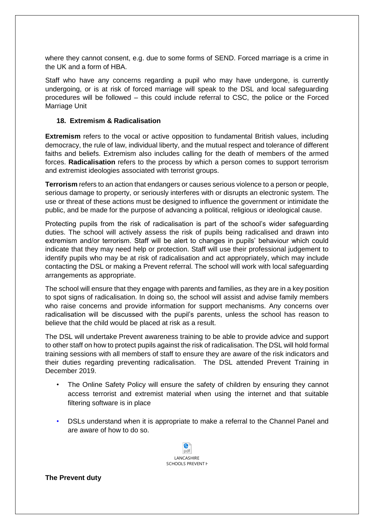where they cannot consent, e.g. due to some forms of SEND. Forced marriage is a crime in the UK and a form of HBA.

Staff who have any concerns regarding a pupil who may have undergone, is currently undergoing, or is at risk of forced marriage will speak to the DSL and local safeguarding procedures will be followed – this could include referral to CSC, the police or the Forced Marriage Unit

#### **18. Extremism & Radicalisation**

**Extremism** refers to the vocal or active opposition to fundamental British values, including democracy, the rule of law, individual liberty, and the mutual respect and tolerance of different faiths and beliefs. Extremism also includes calling for the death of members of the armed forces. **Radicalisation** refers to the process by which a person comes to support terrorism and extremist ideologies associated with terrorist groups.

**Terrorism** refers to an action that endangers or causes serious violence to a person or people, serious damage to property, or seriously interferes with or disrupts an electronic system. The use or threat of these actions must be designed to influence the government or intimidate the public, and be made for the purpose of advancing a political, religious or ideological cause.

Protecting pupils from the risk of radicalisation is part of the school's wider safeguarding duties. The school will actively assess the risk of pupils being radicalised and drawn into extremism and/or terrorism. Staff will be alert to changes in pupils' behaviour which could indicate that they may need help or protection. Staff will use their professional judgement to identify pupils who may be at risk of radicalisation and act appropriately, which may include contacting the DSL or making a Prevent referral. The school will work with local safeguarding arrangements as appropriate.

The school will ensure that they engage with parents and families, as they are in a key position to spot signs of radicalisation. In doing so, the school will assist and advise family members who raise concerns and provide information for support mechanisms. Any concerns over radicalisation will be discussed with the pupil's parents, unless the school has reason to believe that the child would be placed at risk as a result.

The DSL will undertake Prevent awareness training to be able to provide advice and support to other staff on how to protect pupils against the risk of radicalisation. The DSL will hold formal training sessions with all members of staff to ensure they are aware of the risk indicators and their duties regarding preventing radicalisation. The DSL attended Prevent Training in December 2019.

- The Online Safety Policy will ensure the safety of children by ensuring they cannot access terrorist and extremist material when using the internet and that suitable filtering software is in place
- DSLs understand when it is appropriate to make a referral to the Channel Panel and are aware of how to do so.



**The Prevent duty**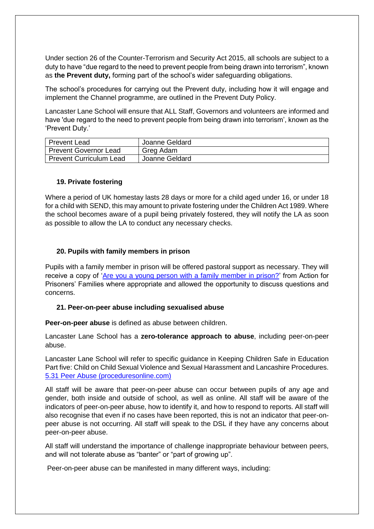Under section 26 of the Counter-Terrorism and Security Act 2015, all schools are subject to a duty to have "due regard to the need to prevent people from being drawn into terrorism", known as **the Prevent duty,** forming part of the school's wider safeguarding obligations.

The school's procedures for carrying out the Prevent duty, including how it will engage and implement the Channel programme, are outlined in the Prevent Duty Policy.

Lancaster Lane School will ensure that ALL Staff, Governors and volunteers are informed and have 'due regard to the need to prevent people from being drawn into terrorism', known as the 'Prevent Duty.'

| Prevent Lead            | Joanne Geldard |
|-------------------------|----------------|
| Prevent Governor Lead   | Greg Adam      |
| Prevent Curriculum Lead | Joanne Geldard |

#### **19. Private fostering**

Where a period of UK homestay lasts 28 days or more for a child aged under 16, or under 18 for a child with SEND, this may amount to private fostering under the Children Act 1989. Where the school becomes aware of a pupil being privately fostered, they will notify the LA as soon as possible to allow the LA to conduct any necessary checks.

#### **20. Pupils with family members in prison**

Pupils with a family member in prison will be offered pastoral support as necessary. They will receive a copy of ['Are you a young person with a family member in prison?'](https://www.nicco.org.uk/directory-of-resources) from Action for Prisoners' Families where appropriate and allowed the opportunity to discuss questions and concerns.

#### **21. Peer-on-peer abuse including sexualised abuse**

**Peer-on-peer abuse** is defined as abuse between children.

Lancaster Lane School has a **zero-tolerance approach to abuse**, including peer-on-peer abuse.

Lancaster Lane School will refer to specific guidance in Keeping Children Safe in Education Part five: Child on Child Sexual Violence and Sexual Harassment and Lancashire Procedures. [5.31 Peer Abuse \(proceduresonline.com\)](https://panlancashirescb.proceduresonline.com/chapters/p_peer_abuse.html)

All staff will be aware that peer-on-peer abuse can occur between pupils of any age and gender, both inside and outside of school, as well as online. All staff will be aware of the indicators of peer-on-peer abuse, how to identify it, and how to respond to reports. All staff will also recognise that even if no cases have been reported, this is not an indicator that peer-onpeer abuse is not occurring. All staff will speak to the DSL if they have any concerns about peer-on-peer abuse.

All staff will understand the importance of challenge inappropriate behaviour between peers, and will not tolerate abuse as "banter" or "part of growing up".

Peer-on-peer abuse can be manifested in many different ways, including: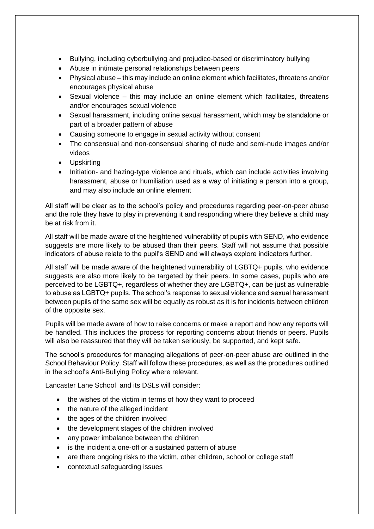- Bullying, including cyberbullying and prejudice-based or discriminatory bullying
- Abuse in intimate personal relationships between peers
- Physical abuse this may include an online element which facilitates, threatens and/or encourages physical abuse
- Sexual violence this may include an online element which facilitates, threatens and/or encourages sexual violence
- Sexual harassment, including online sexual harassment, which may be standalone or part of a broader pattern of abuse
- Causing someone to engage in sexual activity without consent
- The consensual and non-consensual sharing of nude and semi-nude images and/or videos
- Upskirting
- Initiation- and hazing-type violence and rituals, which can include activities involving harassment, abuse or humiliation used as a way of initiating a person into a group, and may also include an online element

All staff will be clear as to the school's policy and procedures regarding peer-on-peer abuse and the role they have to play in preventing it and responding where they believe a child may be at risk from it.

All staff will be made aware of the heightened vulnerability of pupils with SEND, who evidence suggests are more likely to be abused than their peers. Staff will not assume that possible indicators of abuse relate to the pupil's SEND and will always explore indicators further.

All staff will be made aware of the heightened vulnerability of LGBTQ+ pupils, who evidence suggests are also more likely to be targeted by their peers. In some cases, pupils who are perceived to be LGBTQ+, regardless of whether they are LGBTQ+, can be just as vulnerable to abuse as LGBTQ+ pupils. The school's response to sexual violence and sexual harassment between pupils of the same sex will be equally as robust as it is for incidents between children of the opposite sex.

Pupils will be made aware of how to raise concerns or make a report and how any reports will be handled. This includes the process for reporting concerns about friends or peers. Pupils will also be reassured that they will be taken seriously, be supported, and kept safe.

The school's procedures for managing allegations of peer-on-peer abuse are outlined in the School Behaviour Policy. Staff will follow these procedures, as well as the procedures outlined in the school's Anti-Bullying Policy where relevant.

Lancaster Lane School and its DSLs will consider:

- the wishes of the victim in terms of how they want to proceed
- the nature of the alleged incident
- the ages of the children involved
- the development stages of the children involved
- any power imbalance between the children
- is the incident a one-off or a sustained pattern of abuse
- are there ongoing risks to the victim, other children, school or college staff
- contextual safeguarding issues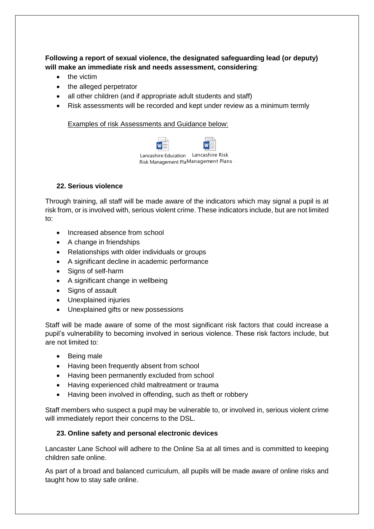**Following a report of sexual violence, the designated safeguarding lead (or deputy) will make an immediate risk and needs assessment, considering**:

- the victim
- the alleged perpetrator
- all other children (and if appropriate adult students and staff)
- Risk assessments will be recorded and kept under review as a minimum termly

Examples of risk Assessments and Guidance below:

| Lancashire Education Lancashire Risk |  |  |
|--------------------------------------|--|--|
| Risk Management PlaManagement Plans  |  |  |

#### **22. Serious violence**

Through training, all staff will be made aware of the indicators which may signal a pupil is at risk from, or is involved with, serious violent crime. These indicators include, but are not limited to:

- Increased absence from school
- A change in friendships
- Relationships with older individuals or groups
- A significant decline in academic performance
- Signs of self-harm
- A significant change in wellbeing
- Signs of assault
- Unexplained injuries
- Unexplained gifts or new possessions

Staff will be made aware of some of the most significant risk factors that could increase a pupil's vulnerability to becoming involved in serious violence. These risk factors include, but are not limited to:

- Being male
- Having been frequently absent from school
- Having been permanently excluded from school
- Having experienced child maltreatment or trauma
- Having been involved in offending, such as theft or robbery

Staff members who suspect a pupil may be vulnerable to, or involved in, serious violent crime will immediately report their concerns to the DSL.

#### **23. Online safety and personal electronic devices**

Lancaster Lane School will adhere to the Online Sa at all times and is committed to keeping children safe online.

As part of a broad and balanced curriculum, all pupils will be made aware of online risks and taught how to stay safe online.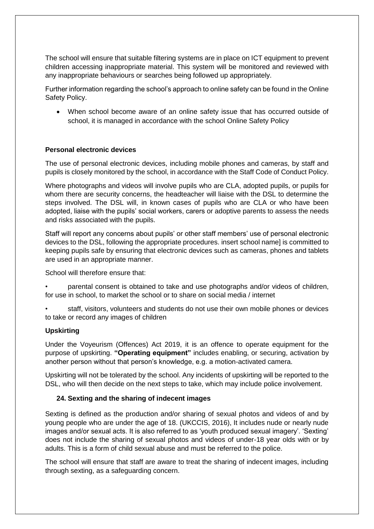The school will ensure that suitable filtering systems are in place on ICT equipment to prevent children accessing inappropriate material. This system will be monitored and reviewed with any inappropriate behaviours or searches being followed up appropriately.

Further information regarding the school's approach to online safety can be found in the Online Safety Policy.

 When school become aware of an online safety issue that has occurred outside of school, it is managed in accordance with the school Online Safety Policy

#### **Personal electronic devices**

The use of personal electronic devices, including mobile phones and cameras, by staff and pupils is closely monitored by the school, in accordance with the Staff Code of Conduct Policy.

Where photographs and videos will involve pupils who are CLA, adopted pupils, or pupils for whom there are security concerns, the headteacher will liaise with the DSL to determine the steps involved. The DSL will, in known cases of pupils who are CLA or who have been adopted, liaise with the pupils' social workers, carers or adoptive parents to assess the needs and risks associated with the pupils.

Staff will report any concerns about pupils' or other staff members' use of personal electronic devices to the DSL, following the appropriate procedures. insert school name] is committed to keeping pupils safe by ensuring that electronic devices such as cameras, phones and tablets are used in an appropriate manner.

School will therefore ensure that:

• parental consent is obtained to take and use photographs and/or videos of children, for use in school, to market the school or to share on social media / internet

• staff, visitors, volunteers and students do not use their own mobile phones or devices to take or record any images of children

#### **Upskirting**

Under the Voyeurism (Offences) Act 2019, it is an offence to operate equipment for the purpose of upskirting. **"Operating equipment"** includes enabling, or securing, activation by another person without that person's knowledge, e.g. a motion-activated camera.

Upskirting will not be tolerated by the school. Any incidents of upskirting will be reported to the DSL, who will then decide on the next steps to take, which may include police involvement.

#### **24. Sexting and the sharing of indecent images**

Sexting is defined as the production and/or sharing of sexual photos and videos of and by young people who are under the age of 18. (UKCCIS, 2016), It includes nude or nearly nude images and/or sexual acts. It is also referred to as 'youth produced sexual imagery'. 'Sexting' does not include the sharing of sexual photos and videos of under-18 year olds with or by adults. This is a form of child sexual abuse and must be referred to the police.

The school will ensure that staff are aware to treat the sharing of indecent images, including through sexting, as a safeguarding concern.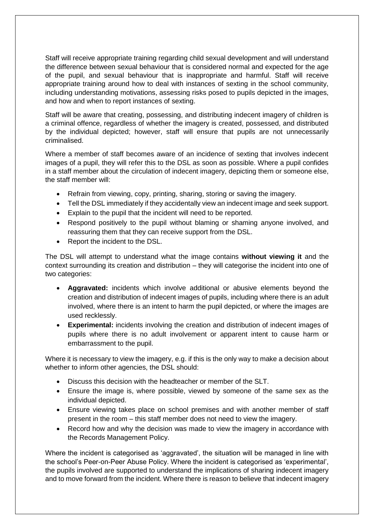Staff will receive appropriate training regarding child sexual development and will understand the difference between sexual behaviour that is considered normal and expected for the age of the pupil, and sexual behaviour that is inappropriate and harmful. Staff will receive appropriate training around how to deal with instances of sexting in the school community, including understanding motivations, assessing risks posed to pupils depicted in the images, and how and when to report instances of sexting.

Staff will be aware that creating, possessing, and distributing indecent imagery of children is a criminal offence, regardless of whether the imagery is created, possessed, and distributed by the individual depicted; however, staff will ensure that pupils are not unnecessarily criminalised.

Where a member of staff becomes aware of an incidence of sexting that involves indecent images of a pupil, they will refer this to the DSL as soon as possible. Where a pupil confides in a staff member about the circulation of indecent imagery, depicting them or someone else, the staff member will:

- Refrain from viewing, copy, printing, sharing, storing or saving the imagery.
- Tell the DSL immediately if they accidentally view an indecent image and seek support.
- Explain to the pupil that the incident will need to be reported.
- Respond positively to the pupil without blaming or shaming anyone involved, and reassuring them that they can receive support from the DSL.
- Report the incident to the DSL.

The DSL will attempt to understand what the image contains **without viewing it** and the context surrounding its creation and distribution – they will categorise the incident into one of two categories:

- **Aggravated:** incidents which involve additional or abusive elements beyond the creation and distribution of indecent images of pupils, including where there is an adult involved, where there is an intent to harm the pupil depicted, or where the images are used recklessly.
- **Experimental:** incidents involving the creation and distribution of indecent images of pupils where there is no adult involvement or apparent intent to cause harm or embarrassment to the pupil.

Where it is necessary to view the imagery, e.g. if this is the only way to make a decision about whether to inform other agencies, the DSL should:

- Discuss this decision with the headteacher or member of the SLT.
- Ensure the image is, where possible, viewed by someone of the same sex as the individual depicted.
- Ensure viewing takes place on school premises and with another member of staff present in the room – this staff member does not need to view the imagery.
- Record how and why the decision was made to view the imagery in accordance with the Records Management Policy.

Where the incident is categorised as 'aggravated', the situation will be managed in line with the school's Peer-on-Peer Abuse Policy. Where the incident is categorised as 'experimental', the pupils involved are supported to understand the implications of sharing indecent imagery and to move forward from the incident. Where there is reason to believe that indecent imagery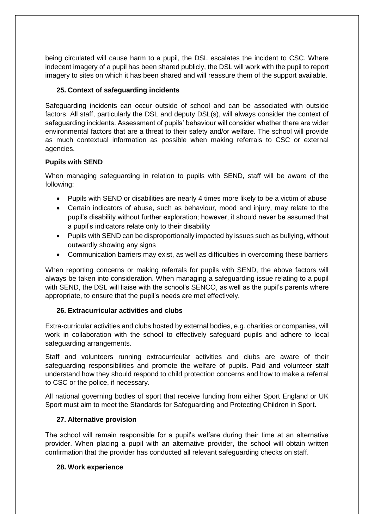being circulated will cause harm to a pupil, the DSL escalates the incident to CSC. Where indecent imagery of a pupil has been shared publicly, the DSL will work with the pupil to report imagery to sites on which it has been shared and will reassure them of the support available.

### **25. Context of safeguarding incidents**

Safeguarding incidents can occur outside of school and can be associated with outside factors. All staff, particularly the DSL and deputy DSL(s), will always consider the context of safeguarding incidents. Assessment of pupils' behaviour will consider whether there are wider environmental factors that are a threat to their safety and/or welfare. The school will provide as much contextual information as possible when making referrals to CSC or external agencies.

#### **Pupils with SEND**

When managing safeguarding in relation to pupils with SEND, staff will be aware of the following:

- Pupils with SEND or disabilities are nearly 4 times more likely to be a victim of abuse
- Certain indicators of abuse, such as behaviour, mood and injury, may relate to the pupil's disability without further exploration; however, it should never be assumed that a pupil's indicators relate only to their disability
- Pupils with SEND can be disproportionally impacted by issues such as bullying, without outwardly showing any signs
- Communication barriers may exist, as well as difficulties in overcoming these barriers

When reporting concerns or making referrals for pupils with SEND, the above factors will always be taken into consideration. When managing a safeguarding issue relating to a pupil with SEND, the DSL will liaise with the school's SENCO, as well as the pupil's parents where appropriate, to ensure that the pupil's needs are met effectively.

#### **26. Extracurricular activities and clubs**

Extra-curricular activities and clubs hosted by external bodies, e.g. charities or companies, will work in collaboration with the school to effectively safeguard pupils and adhere to local safeguarding arrangements.

Staff and volunteers running extracurricular activities and clubs are aware of their safeguarding responsibilities and promote the welfare of pupils. Paid and volunteer staff understand how they should respond to child protection concerns and how to make a referral to CSC or the police, if necessary.

All national governing bodies of sport that receive funding from either Sport England or UK Sport must aim to meet the Standards for Safeguarding and Protecting Children in Sport.

#### **27. Alternative provision**

The school will remain responsible for a pupil's welfare during their time at an alternative provider. When placing a pupil with an alternative provider, the school will obtain written confirmation that the provider has conducted all relevant safeguarding checks on staff.

#### **28. Work experience**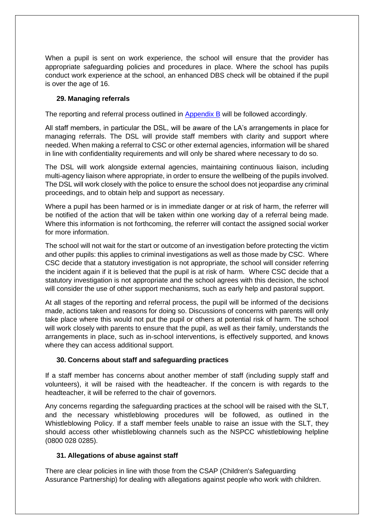When a pupil is sent on work experience, the school will ensure that the provider has appropriate safeguarding policies and procedures in place. Where the school has pupils conduct work experience at the school, an enhanced DBS check will be obtained if the pupil is over the age of 16.

#### **29. Managing referrals**

The reporting and referral process outlined in Appendix B will be followed accordingly.

All staff members, in particular the DSL, will be aware of the LA's arrangements in place for managing referrals. The DSL will provide staff members with clarity and support where needed. When making a referral to CSC or other external agencies, information will be shared in line with confidentiality requirements and will only be shared where necessary to do so.

The DSL will work alongside external agencies, maintaining continuous liaison, including multi-agency liaison where appropriate, in order to ensure the wellbeing of the pupils involved. The DSL will work closely with the police to ensure the school does not jeopardise any criminal proceedings, and to obtain help and support as necessary.

Where a pupil has been harmed or is in immediate danger or at risk of harm, the referrer will be notified of the action that will be taken within one working day of a referral being made. Where this information is not forthcoming, the referrer will contact the assigned social worker for more information.

The school will not wait for the start or outcome of an investigation before protecting the victim and other pupils: this applies to criminal investigations as well as those made by CSC. Where CSC decide that a statutory investigation is not appropriate, the school will consider referring the incident again if it is believed that the pupil is at risk of harm. Where CSC decide that a statutory investigation is not appropriate and the school agrees with this decision, the school will consider the use of other support mechanisms, such as early help and pastoral support.

At all stages of the reporting and referral process, the pupil will be informed of the decisions made, actions taken and reasons for doing so. Discussions of concerns with parents will only take place where this would not put the pupil or others at potential risk of harm. The school will work closely with parents to ensure that the pupil, as well as their family, understands the arrangements in place, such as in-school interventions, is effectively supported, and knows where they can access additional support.

# **30. Concerns about staff and safeguarding practices**

If a staff member has concerns about another member of staff (including supply staff and volunteers), it will be raised with the headteacher. If the concern is with regards to the headteacher, it will be referred to the chair of governors.

Any concerns regarding the safeguarding practices at the school will be raised with the SLT, and the necessary whistleblowing procedures will be followed, as outlined in the Whistleblowing Policy. If a staff member feels unable to raise an issue with the SLT, they should access other whistleblowing channels such as the NSPCC whistleblowing helpline (0800 028 0285).

#### **31. Allegations of abuse against staff**

There are clear policies in line with those from the CSAP (Children's Safeguarding Assurance Partnership) for dealing with allegations against people who work with children.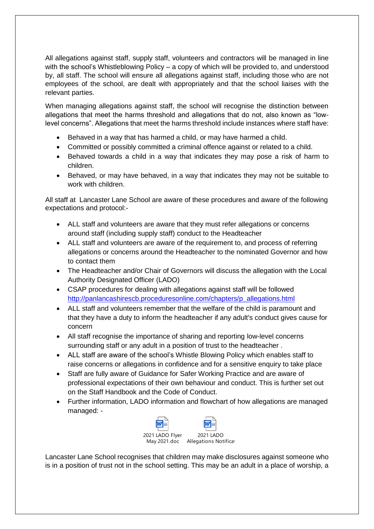All allegations against staff, supply staff, volunteers and contractors will be managed in line with the school's Whistleblowing Policy – a copy of which will be provided to, and understood by, all staff. The school will ensure all allegations against staff, including those who are not employees of the school, are dealt with appropriately and that the school liaises with the relevant parties.

When managing allegations against staff, the school will recognise the distinction between allegations that meet the harms threshold and allegations that do not, also known as "lowlevel concerns". Allegations that meet the harms threshold include instances where staff have:

- Behaved in a way that has harmed a child, or may have harmed a child.
- Committed or possibly committed a criminal offence against or related to a child.
- Behaved towards a child in a way that indicates they may pose a risk of harm to children.
- Behaved, or may have behaved, in a way that indicates they may not be suitable to work with children.

All staff at Lancaster Lane School are aware of these procedures and aware of the following expectations and protocol:-

- ALL staff and volunteers are aware that they must refer allegations or concerns around staff (including supply staff) conduct to the Headteacher
- ALL staff and volunteers are aware of the requirement to, and process of referring allegations or concerns around the Headteacher to the nominated Governor and how to contact them
- The Headteacher and/or Chair of Governors will discuss the allegation with the Local Authority Designated Officer (LADO)
- CSAP procedures for dealing with allegations against staff will be followed [http://panlancashirescb.proceduresonline.com/chapters/p\\_allegations.html](http://panlancashirescb.proceduresonline.com/chapters/p_allegations.html)
- ALL staff and volunteers remember that the welfare of the child is paramount and that they have a duty to inform the headteacher if any adult's conduct gives cause for concern
- All staff recognise the importance of sharing and reporting low-level concerns surrounding staff or any adult in a position of trust to the headteacher .
- ALL staff are aware of the school's Whistle Blowing Policy which enables staff to raise concerns or allegations in confidence and for a sensitive enquiry to take place
- Staff are fully aware of Guidance for Safer Working Practice and are aware of professional expectations of their own behaviour and conduct. This is further set out on the Staff Handbook and the Code of Conduct.
- Further information, LADO information and flowchart of how allegations are managed managed: -



Lancaster Lane School recognises that children may make disclosures against someone who is in a position of trust not in the school setting. This may be an adult in a place of worship, a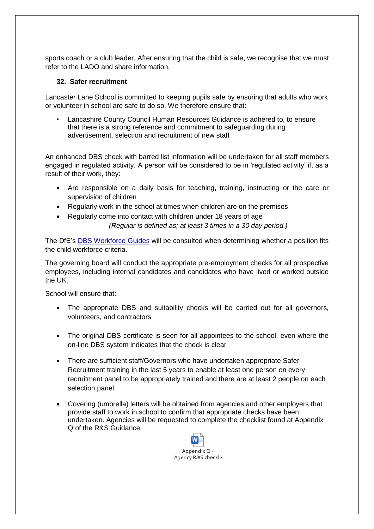sports coach or a club leader. After ensuring that the child is safe, we recognise that we must refer to the LADO and share information.

#### **32. Safer recruitment**

Lancaster Lane School is committed to keeping pupils safe by ensuring that adults who work or volunteer in school are safe to do so. We therefore ensure that:

• Lancashire County Council Human Resources Guidance is adhered to, to ensure that there is a strong reference and commitment to safeguarding during advertisement, selection and recruitment of new staff

An enhanced DBS check with barred list information will be undertaken for all staff members engaged in regulated activity. A person will be considered to be in 'regulated activity' if, as a result of their work, they:

- Are responsible on a daily basis for teaching, training, instructing or the care or supervision of children
- Regularly work in the school at times when children are on the premises
- Regularly come into contact with children under 18 years of age *(Regular is defined as; at least 3 times in a 30 day period.)*

The DfE's [DBS Workforce Guides](https://www.gov.uk/government/publications/dbs-workforce-guidance) will be consulted when determining whether a position fits the child workforce criteria.

The governing board will conduct the appropriate pre-employment checks for all prospective employees, including internal candidates and candidates who have lived or worked outside the UK.

School will ensure that:

- The appropriate DBS and suitability checks will be carried out for all governors, volunteers, and contractors
- The original DBS certificate is seen for all appointees to the school, even where the on-line DBS system indicates that the check is clear
- There are sufficient staff/Governors who have undertaken appropriate Safer Recruitment training in the last 5 years to enable at least one person on every recruitment panel to be appropriately trained and there are at least 2 people on each selection panel
- Covering (umbrella) letters will be obtained from agencies and other employers that provide staff to work in school to confirm that appropriate checks have been undertaken. Agencies will be requested to complete the checklist found at Appendix Q of the R&S Guidance.

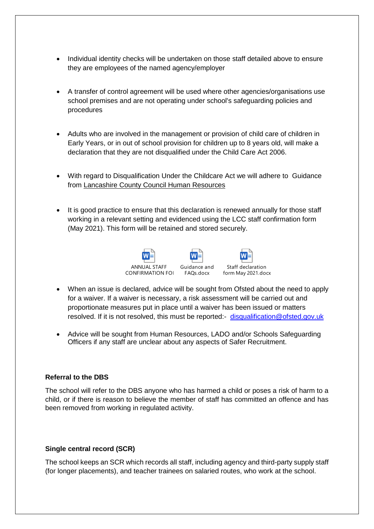- Individual identity checks will be undertaken on those staff detailed above to ensure they are employees of the named agency/employer
- A transfer of control agreement will be used where other agencies/organisations use school premises and are not operating under school's safeguarding policies and procedures
- Adults who are involved in the management or provision of child care of children in Early Years, or in out of school provision for children up to 8 years old, will make a declaration that they are not disqualified under the Child Care Act 2006.
- With regard to Disqualification Under the Childcare Act we will adhere to Guidance from [Lancashire County Council Human Resources](file://///CorpData01/LCCUsers4$/vwallace001/My%20Documents/For%20portal/•%09https:/schoolsportal.lancsngfl.ac.uk/view_sp.asp%3fsiteid=4311&pageid=45826&e=e)
- It is good practice to ensure that this declaration is renewed annually for those staff working in a relevant setting and evidenced using the LCC staff confirmation form (May 2021). This form will be retained and stored securely.



- When an issue is declared, advice will be sought from Ofsted about the need to apply for a waiver. If a waiver is necessary, a risk assessment will be carried out and proportionate measures put in place until a waiver has been issued or matters resolved. If it is not resolved, this must be reported:- [disqualification@ofsted.gov.uk](mailto:disqualification@ofsted.gov.uk)
- Advice will be sought from Human Resources, LADO and/or Schools Safeguarding Officers if any staff are unclear about any aspects of Safer Recruitment.

#### **Referral to the DBS**

The school will refer to the DBS anyone who has harmed a child or poses a risk of harm to a child, or if there is reason to believe the member of staff has committed an offence and has been removed from working in regulated activity.

#### **Single central record (SCR)**

The school keeps an SCR which records all staff, including agency and third-party supply staff (for longer placements), and teacher trainees on salaried routes, who work at the school.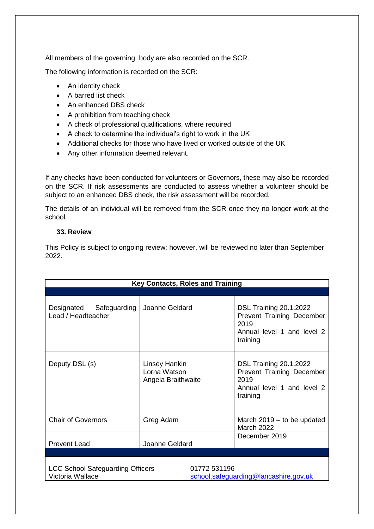All members of the governing body are also recorded on the SCR.

The following information is recorded on the SCR:

- An identity check
- A barred list check
- An enhanced DBS check
- A prohibition from teaching check
- A check of professional qualifications, where required
- A check to determine the individual's right to work in the UK
- Additional checks for those who have lived or worked outside of the UK
- Any other information deemed relevant.

If any checks have been conducted for volunteers or Governors, these may also be recorded on the SCR. If risk assessments are conducted to assess whether a volunteer should be subject to an enhanced DBS check, the risk assessment will be recorded.

The details of an individual will be removed from the SCR once they no longer work at the school.

#### **33. Review**

This Policy is subject to ongoing review; however, will be reviewed no later than September 2022.

| <b>Key Contacts, Roles and Training</b>                     |                                                     |              |                                                                                                                     |  |
|-------------------------------------------------------------|-----------------------------------------------------|--------------|---------------------------------------------------------------------------------------------------------------------|--|
|                                                             |                                                     |              |                                                                                                                     |  |
| Designated Safeguarding<br>Lead / Headteacher               | Joanne Geldard                                      |              | <b>DSL Training 20.1.2022</b><br>Prevent Training December<br>2019<br>Annual level 1 and level 2<br>training        |  |
| Deputy DSL (s)                                              | Linsey Hankin<br>Lorna Watson<br>Angela Braithwaite |              | <b>DSL Training 20.1.2022</b><br><b>Prevent Training December</b><br>2019<br>Annual level 1 and level 2<br>training |  |
| <b>Chair of Governors</b>                                   | Greg Adam                                           |              | March $2019 -$ to be updated<br>March 2022                                                                          |  |
| <b>Prevent Lead</b>                                         | Joanne Geldard                                      |              | December 2019                                                                                                       |  |
|                                                             |                                                     |              |                                                                                                                     |  |
| <b>LCC School Safeguarding Officers</b><br>Victoria Wallace |                                                     | 01772 531196 | school.safeguarding@lancashire.gov.uk                                                                               |  |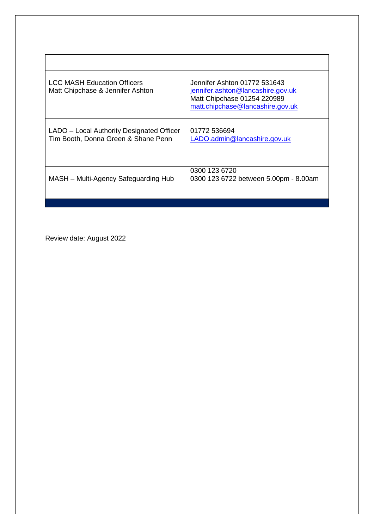| <b>LCC MASH Education Officers</b><br>Matt Chipchase & Jennifer Ashton           | Jennifer Ashton 01772 531643<br>jennifer.ashton@lancashire.gov.uk<br>Matt Chipchase 01254 220989<br>matt.chipchase@lancashire.gov.uk |
|----------------------------------------------------------------------------------|--------------------------------------------------------------------------------------------------------------------------------------|
| LADO – Local Authority Designated Officer<br>Tim Booth, Donna Green & Shane Penn | 01772 536694<br>LADO.admin@lancashire.gov.uk                                                                                         |
| MASH - Multi-Agency Safeguarding Hub                                             | 0300 123 6720<br>0300 123 6722 between 5.00pm - 8.00am                                                                               |
|                                                                                  |                                                                                                                                      |

Review date: August 2022